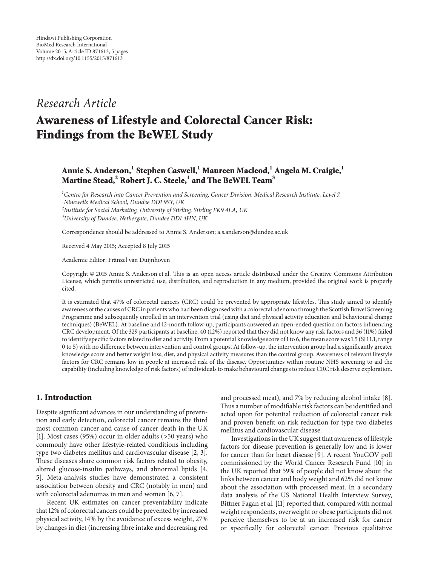# *Research Article*

# **Awareness of Lifestyle and Colorectal Cancer Risk: Findings from the BeWEL Study**

# **Annie S. Anderson,<sup>1</sup> Stephen Caswell,<sup>1</sup> Maureen Macleod,1 Angela M. Craigie,<sup>1</sup> Martine Stead,<sup>2</sup> Robert J. C. Steele,<sup>1</sup> and The BeWEL Team<sup>3</sup>**

 *Centre for Research into Cancer Prevention and Screening, Cancer Division, Medical Research Institute, Level 7, Ninewells Medical School, Dundee DD1 9SY, UK Institute for Social Marketing, University of Stirling, Stirling FK9 4LA, UK University of Dundee, Nethergate, Dundee DD1 4HN, UK*

Correspondence should be addressed to Annie S. Anderson; a.s.anderson@dundee.ac.uk

Received 4 May 2015; Accepted 8 July 2015

Academic Editor: Franzel van Duijnhoven ¨

Copyright © 2015 Annie S. Anderson et al. This is an open access article distributed under the Creative Commons Attribution License, which permits unrestricted use, distribution, and reproduction in any medium, provided the original work is properly cited.

It is estimated that 47% of colorectal cancers (CRC) could be prevented by appropriate lifestyles. This study aimed to identify awareness of the causes of CRC in patients who had been diagnosed with a colorectal adenoma through the Scottish Bowel Screening Programme and subsequently enrolled in an intervention trial (using diet and physical activity education and behavioural change techniques) (BeWEL). At baseline and 12-month follow-up, participants answered an open-ended question on factors influencing CRC development. Of the 329 participants at baseline, 40 (12%) reported that they did not know any risk factors and 36 (11%) failed to identify specific factors related to diet and activity. From a potential knowledge score of 1 to 6, the mean score was 1.5 (SD 1.1, range 0 to 5) with no difference between intervention and control groups. At follow-up, the intervention group had a significantly greater knowledge score and better weight loss, diet, and physical activity measures than the control group. Awareness of relevant lifestyle factors for CRC remains low in people at increased risk of the disease. Opportunities within routine NHS screening to aid the capability (including knowledge of risk factors) of individuals to make behavioural changes to reduce CRC risk deserve exploration.

# **1. Introduction**

Despite significant advances in our understanding of prevention and early detection, colorectal cancer remains the third most common cancer and cause of cancer death in the UK [\[1](#page-4-0)]. Most cases (95%) occur in older adults (>50 years) who commonly have other lifestyle-related conditions including type two diabetes mellitus and cardiovascular disease [\[2](#page-4-1), [3\]](#page-4-2). These diseases share common risk factors related to obesity, altered glucose-insulin pathways, and abnormal lipids [\[4](#page-4-3), [5](#page-4-4)]. Meta-analysis studies have demonstrated a consistent association between obesity and CRC (notably in men) and with colorectal adenomas in men and women [\[6](#page-4-5), [7](#page-4-6)].

Recent UK estimates on cancer preventability indicate that 12% of colorectal cancers could be prevented by increased physical activity, 14% by the avoidance of excess weight, 27% by changes in diet (increasing fibre intake and decreasing red

and processed meat), and 7% by reducing alcohol intake [\[8](#page-4-7)]. Thus a number of modifiable risk factors can be identified and acted upon for potential reduction of colorectal cancer risk and proven benefit on risk reduction for type two diabetes mellitus and cardiovascular disease.

Investigations in the UK suggest that awareness of lifestyle factors for disease prevention is generally low and is lower for cancer than for heart disease [\[9\]](#page-4-8). A recent YouGOV poll commissioned by the World Cancer Research Fund [\[10\]](#page-4-9) in the UK reported that 59% of people did not know about the links between cancer and body weight and 62% did not know about the association with processed meat. In a secondary data analysis of the US National Health Interview Survey, Bittner Fagan et al. [\[11](#page-4-10)] reported that, compared with normal weight respondents, overweight or obese participants did not perceive themselves to be at an increased risk for cancer or specifically for colorectal cancer. Previous qualitative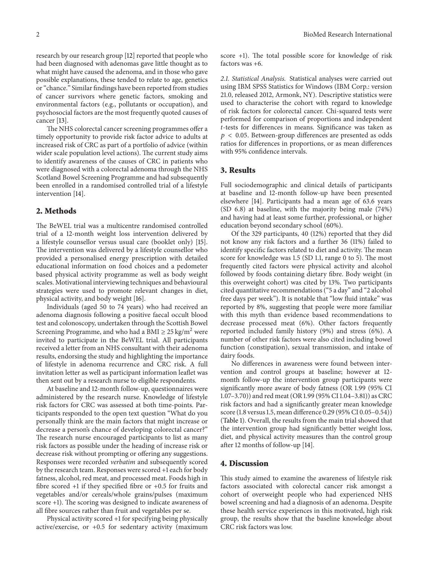research by our research group [\[12](#page-4-11)] reported that people who had been diagnosed with adenomas gave little thought as to what might have caused the adenoma, and in those who gave possible explanations, these tended to relate to age, genetics or "chance." Similar findings have been reported from studies of cancer survivors where genetic factors, smoking and environmental factors (e.g., pollutants or occupation), and psychosocial factors are the most frequently quoted causes of cancer [\[13](#page-4-12)].

The NHS colorectal cancer screening programmes offer a timely opportunity to provide risk factor advice to adults at increased risk of CRC as part of a portfolio of advice (within wider scale population level actions). The current study aims to identify awareness of the causes of CRC in patients who were diagnosed with a colorectal adenoma through the NHS Scotland Bowel Screening Programme and had subsequently been enrolled in a randomised controlled trial of a lifestyle intervention [\[14\]](#page-4-13).

# **2. Methods**

The BeWEL trial was a multicentre randomised controlled trial of a 12-month weight loss intervention delivered by a lifestyle counsellor versus usual care (booklet only) [\[15\]](#page-4-14). The intervention was delivered by a lifestyle counsellor who provided a personalised energy prescription with detailed educational information on food choices and a pedometer based physical activity programme as well as body weight scales. Motivational interviewing techniques and behavioural strategies were used to promote relevant changes in diet, physical activity, and body weight [\[16](#page-4-15)].

Individuals (aged 50 to 74 years) who had received an adenoma diagnosis following a positive faecal occult blood test and colonoscopy, undertaken through the Scottish Bowel Screening Programme, and who had a BMI  $\geq 25 \text{ kg/m}^2$  were invited to participate in the BeWEL trial. All participants received a letter from an NHS consultant with their adenoma results, endorsing the study and highlighting the importance of lifestyle in adenoma recurrence and CRC risk. A full invitation letter as well as participant information leaflet was then sent out by a research nurse to eligible respondents.

At baseline and 12-month follow-up, questionnaires were administered by the research nurse. Knowledge of lifestyle risk factors for CRC was assessed at both time-points. Participants responded to the open text question "What do you personally think are the main factors that might increase or decrease a person's chance of developing colorectal cancer?" The research nurse encouraged participants to list as many risk factors as possible under the heading of increase risk or decrease risk without prompting or offering any suggestions. Responses were recorded *verbatim* and subsequently scored by the research team. Responses were scored +1 each for body fatness, alcohol, red meat, and processed meat. Foods high in fibre scored  $+1$  if they specified fibre or  $+0.5$  for fruits and vegetables and/or cereals/whole grains/pulses (maximum score +1). The scoring was designed to indicate awareness of all fibre sources rather than fruit and vegetables per se.

Physical activity scored +1 for specifying being physically active/exercise, or +0.5 for sedentary activity (maximum score +1). The total possible score for knowledge of risk factors was +6.

*2.1. Statistical Analysis.* Statistical analyses were carried out using IBM SPSS Statistics for Windows (IBM Corp.: version 21.0, released 2012, Armonk, NY). Descriptive statistics were used to characterise the cohort with regard to knowledge of risk factors for colorectal cancer. Chi-squared tests were performed for comparison of proportions and independent *t*-tests for differences in means. Significance was taken as  $p \lt 0.05$ . Between-group differences are presented as odds ratios for differences in proportions, or as mean differences with 95% confidence intervals.

# **3. Results**

Full sociodemographic and clinical details of participants at baseline and 12-month follow-up have been presented elsewhere [\[14](#page-4-13)]. Participants had a mean age of 63.6 years (SD 6.8) at baseline, with the majority being male (74%) and having had at least some further, professional, or higher education beyond secondary school (60%).

Of the 329 participants, 40 (12%) reported that they did not know any risk factors and a further 36 (11%) failed to identify specific factors related to diet and activity. The mean score for knowledge was 1.5 (SD 1.1, range 0 to 5). The most frequently cited factors were physical activity and alcohol followed by foods containing dietary fibre. Body weight (in this overweight cohort) was cited by 13%. Two participants cited quantitative recommendations ("5 a day" and "2 alcohol free days per week"). It is notable that "low fluid intake" was reported by 8%, suggesting that people were more familiar with this myth than evidence based recommendations to decrease processed meat (6%). Other factors frequently reported included family history (9%) and stress (6%). A number of other risk factors were also cited including bowel function (constipation), sexual transmission, and intake of dairy foods.

No differences in awareness were found between intervention and control groups at baseline; however at 12 month follow-up the intervention group participants were significantly more aware of body fatness (OR 1.99 (95% CI 1.07–3.70)) and red meat (OR 1.99 (95% CI 1.04–3.81)) as CRC risk factors and had a significantly greater mean knowledge score (1.8 versus 1.5, mean difference 0.29 (95% CI 0.05–0.54)) [\(Table 1\)](#page-2-0). Overall, the results from the main trial showed that the intervention group had significantly better weight loss, diet, and physical activity measures than the control group after 12 months of follow-up [\[14](#page-4-13)].

# **4. Discussion**

This study aimed to examine the awareness of lifestyle risk factors associated with colorectal cancer risk amongst a cohort of overweight people who had experienced NHS bowel screening and had a diagnosis of an adenoma. Despite these health service experiences in this motivated, high risk group, the results show that the baseline knowledge about CRC risk factors was low.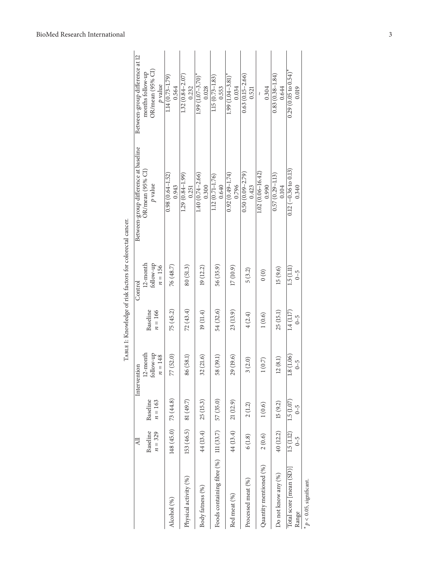|                                       | ₹                       |                       | Intervention                                              |                       | Control                               | Between-group difference at baseline | Between-group difference at 12                  |
|---------------------------------------|-------------------------|-----------------------|-----------------------------------------------------------|-----------------------|---------------------------------------|--------------------------------------|-------------------------------------------------|
|                                       | Baseline<br>$n = 329$   | Baseline<br>$n = 163$ | $12$ -month<br>follow-up<br>$= 148$<br>$\boldsymbol{\mu}$ | Baseline<br>$n = 166$ | follow-up<br>$12$ -month<br>$n = 156$ | OR/mean (95% CI)<br>p value          | OR/mean (95% CI)<br>months follow-up<br>p value |
| Alcohol (%)                           | $148(45.0)$ 73 $(44.8)$ |                       | (52.0)<br>77                                              | 75 (45.2)             | 76 (48.7)                             | $0.98(0.64 - 1.52)$<br>0.943         | $1.14(0.73 - 1.79)$<br>0.564                    |
| Physical activity (%)                 | 153 (46.5)              | 81 (49.7)             | 86 (58.1)                                                 | 72(43.4)              | 80(51.3)                              | $1.29(0.84 - 1.99)$<br>0.251         | $1.32(0.84 - 2.07)$<br>0.232                    |
| Body fatness (%)                      | 44 (13.4)               | 25 (15.3)             | (21.6)<br>32                                              | 19 (11.4)             | 19 (12.2)                             | $1.40(0.74 - 2.66)$<br>0.300         | $1.99(1.07-3.70)^{*}$<br>0.028                  |
| Foods containing fibre (%) 111 (33.7) |                         | 57 (35.0)             | 58 (39.1)                                                 | 54 (32.6)             | 56 (35.9)                             | $1.12(0.71 - 1.76)$<br>0.640         | $1.15(0.73 - 1.83)$<br>0.553                    |
| Red meat (%)                          | $44(13.4)$ 21 (12.9)    |                       | 29 (19.6)                                                 | 23 (13.9)             | 17(10.9)                              | $0.92(0.49 - 1.74)$<br>0.796         | $1.99(1.04 - 3.81)$<br>0.034                    |
| Processed meat (%)                    | 6(1.8)                  | 2(1.2)                | (2.0)                                                     | 4(2.4)                | 5(3.2)                                | $0.50(0.09 - 2.79)$<br>0.423         | $0.63(0.15-2.66)$<br>0.521                      |
| Quantity mentioned (%)                | 2(0.6)                  | 1(0.6)                | (0.7)                                                     | 1(0.6)                | (0)                                   | $1.02(0.06 - 16.42)$<br>0.990        | 0.304                                           |
| Do not know any (%)                   | 40 (12.2)               | 15(9.2)               | 2(8.1)                                                    | 25(15.1)              | 15(9.6)                               | $0.57(0.29 - 1.13)$<br>0.104         | $0.83(0.38 - 1.84)$<br>0.644                    |
| Total score [mean (SD)]<br>Range      | 1.5(1.12)<br>$0 - 5$    | 1.5(1.07)<br>$0 - 5$  | 1.8(1.06)<br>$6 - 5$                                      | 1.4(1.17)<br>$6 - 5$  | 1.5(1.11)<br>$6 - 0$                  | $0.12 (-0.36 to 0.13)$<br>0.340      | 0.29(0.05 to 0.54)<br>0.019                     |
| $p < 0.05$ , significant.             |                         |                       |                                                           |                       |                                       |                                      |                                                 |

<span id="page-2-0"></span>TABLE I: Knowledge of risk factors for colorectal cancer. TABLE 1: Knowledge of risk factors for colorectal cancer.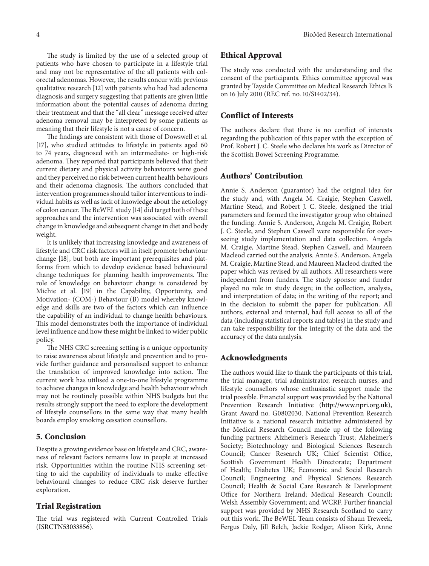The study is limited by the use of a selected group of patients who have chosen to participate in a lifestyle trial and may not be representative of the all patients with colorectal adenomas. However, the results concur with previous qualitative research [\[12](#page-4-11)] with patients who had had adenoma diagnosis and surgery suggesting that patients are given little information about the potential causes of adenoma during their treatment and that the "all clear" message received after adenoma removal may be interpreted by some patients as meaning that their lifestyle is not a cause of concern.

The findings are consistent with those of Dowswell et al. [\[17\]](#page-4-16), who studied attitudes to lifestyle in patients aged 60 to 74 years, diagnosed with an intermediate- or high-risk adenoma. They reported that participants believed that their current dietary and physical activity behaviours were good and they perceived no risk between current health behaviours and their adenoma diagnosis. The authors concluded that intervention programmes should tailor interventions to individual habits as well as lack of knowledge about the aetiology of colon cancer.The BeWEL study [\[14\]](#page-4-13) did target both of these approaches and the intervention was associated with overall change in knowledge and subsequent change in diet and body weight.

It is unlikely that increasing knowledge and awareness of lifestyle and CRC risk factors will in itself promote behaviour change [\[18](#page-4-17)], but both are important prerequisites and platforms from which to develop evidence based behavioural change techniques for planning health improvements. The role of knowledge on behaviour change is considered by Michie et al. [\[19](#page-4-18)] in the Capability, Opportunity, and Motivation- (COM-) Behaviour (B) model whereby knowledge and skills are two of the factors which can influence the capability of an individual to change health behaviours. This model demonstrates both the importance of individual level influence and how these might be linked to wider public policy.

The NHS CRC screening setting is a unique opportunity to raise awareness about lifestyle and prevention and to provide further guidance and personalised support to enhance the translation of improved knowledge into action. The current work has utilised a one-to-one lifestyle programme to achieve changes in knowledge and health behaviour which may not be routinely possible within NHS budgets but the results strongly support the need to explore the development of lifestyle counsellors in the same way that many health boards employ smoking cessation counsellors.

#### **5. Conclusion**

Despite a growing evidence base on lifestyle and CRC, awareness of relevant factors remains low in people at increased risk. Opportunities within the routine NHS screening setting to aid the capability of individuals to make effective behavioural changes to reduce CRC risk deserve further exploration.

## **Trial Registration**

The trial was registered with Current Controlled Trials [\(ISRCTN53033856\)](http://www.isrctn.com/ISRCTN53033856?q=isrctn53033856&filters=&sort=&offset=1&totalResults=1&page=1&pageSize=10&searchType=basic-search).

# **Ethical Approval**

The study was conducted with the understanding and the consent of the participants. Ethics committee approval was granted by Tayside Committee on Medical Research Ethics B on 16 July 2010 (REC ref. no. 10/S1402/34).

# **Conflict of Interests**

The authors declare that there is no conflict of interests regarding the publication of this paper with the exception of Prof. Robert J. C. Steele who declares his work as Director of the Scottish Bowel Screening Programme.

# **Authors' Contribution**

Annie S. Anderson (guarantor) had the original idea for the study and, with Angela M. Craigie, Stephen Caswell, Martine Stead, and Robert J. C. Steele, designed the trial parameters and formed the investigator group who obtained the funding. Annie S. Anderson, Angela M. Craigie, Robert J. C. Steele, and Stephen Caswell were responsible for overseeing study implementation and data collection. Angela M. Craigie, Martine Stead, Stephen Caswell, and Maureen Macleod carried out the analysis. Annie S. Anderson, Angela M. Craigie, Martine Stead, and Maureen Macleod drafted the paper which was revised by all authors. All researchers were independent from funders. The study sponsor and funder played no role in study design; in the collection, analysis, and interpretation of data; in the writing of the report; and in the decision to submit the paper for publication. All authors, external and internal, had full access to all of the data (including statistical reports and tables) in the study and can take responsibility for the integrity of the data and the accuracy of the data analysis.

## **Acknowledgments**

The authors would like to thank the participants of this trial, the trial manager, trial administrator, research nurses, and lifestyle counsellors whose enthusiastic support made the trial possible. Financial support was provided by the National Prevention Research Initiative [\(http://www.npri.org.uk\)](http://www.npri.org.uk), Grant Award no. G0802030. National Prevention Research Initiative is a national research initiative administered by the Medical Research Council made up of the following funding partners: Alzheimer's Research Trust; Alzheimer's Society; Biotechnology and Biological Sciences Research Council; Cancer Research UK; Chief Scientist Office, Scottish Government Health Directorate; Department of Health; Diabetes UK; Economic and Social Research Council; Engineering and Physical Sciences Research Council; Health & Social Care Research & Development Office for Northern Ireland; Medical Research Council; Welsh Assembly Government; and WCRF. Further financial support was provided by NHS Research Scotland to carry out this work. The BeWEL Team consists of Shaun Treweek, Fergus Daly, Jill Belch, Jackie Rodger, Alison Kirk, Anne